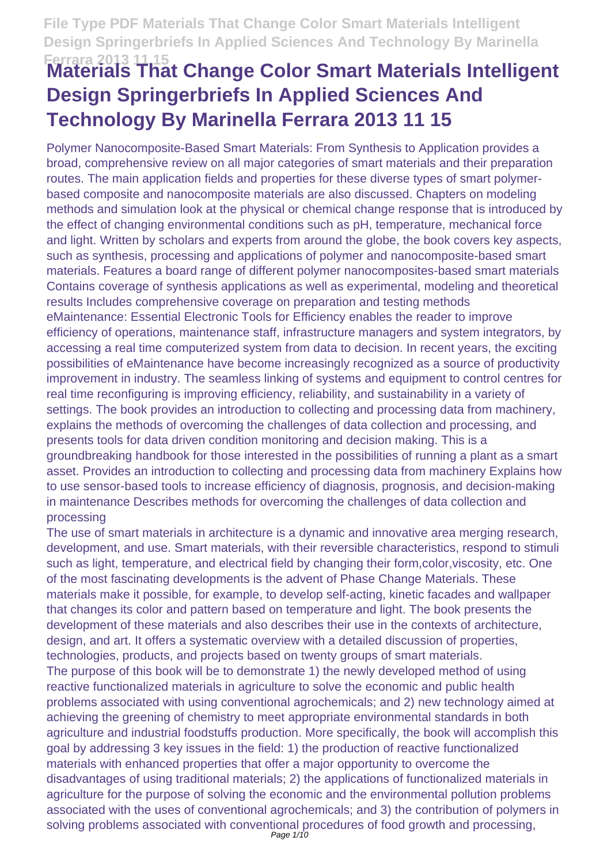# **Ferrara 2013 11 15 Materials That Change Color Smart Materials Intelligent Design Springerbriefs In Applied Sciences And Technology By Marinella Ferrara 2013 11 15**

Polymer Nanocomposite-Based Smart Materials: From Synthesis to Application provides a broad, comprehensive review on all major categories of smart materials and their preparation routes. The main application fields and properties for these diverse types of smart polymerbased composite and nanocomposite materials are also discussed. Chapters on modeling methods and simulation look at the physical or chemical change response that is introduced by the effect of changing environmental conditions such as pH, temperature, mechanical force and light. Written by scholars and experts from around the globe, the book covers key aspects, such as synthesis, processing and applications of polymer and nanocomposite-based smart materials. Features a board range of different polymer nanocomposites-based smart materials Contains coverage of synthesis applications as well as experimental, modeling and theoretical results Includes comprehensive coverage on preparation and testing methods eMaintenance: Essential Electronic Tools for Efficiency enables the reader to improve efficiency of operations, maintenance staff, infrastructure managers and system integrators, by accessing a real time computerized system from data to decision. In recent years, the exciting possibilities of eMaintenance have become increasingly recognized as a source of productivity improvement in industry. The seamless linking of systems and equipment to control centres for real time reconfiguring is improving efficiency, reliability, and sustainability in a variety of settings. The book provides an introduction to collecting and processing data from machinery, explains the methods of overcoming the challenges of data collection and processing, and presents tools for data driven condition monitoring and decision making. This is a groundbreaking handbook for those interested in the possibilities of running a plant as a smart asset. Provides an introduction to collecting and processing data from machinery Explains how to use sensor-based tools to increase efficiency of diagnosis, prognosis, and decision-making in maintenance Describes methods for overcoming the challenges of data collection and processing

The use of smart materials in architecture is a dynamic and innovative area merging research, development, and use. Smart materials, with their reversible characteristics, respond to stimuli such as light, temperature, and electrical field by changing their form,color,viscosity, etc. One of the most fascinating developments is the advent of Phase Change Materials. These materials make it possible, for example, to develop self-acting, kinetic facades and wallpaper that changes its color and pattern based on temperature and light. The book presents the development of these materials and also describes their use in the contexts of architecture, design, and art. It offers a systematic overview with a detailed discussion of properties, technologies, products, and projects based on twenty groups of smart materials. The purpose of this book will be to demonstrate 1) the newly developed method of using reactive functionalized materials in agriculture to solve the economic and public health problems associated with using conventional agrochemicals; and 2) new technology aimed at achieving the greening of chemistry to meet appropriate environmental standards in both agriculture and industrial foodstuffs production. More specifically, the book will accomplish this goal by addressing 3 key issues in the field: 1) the production of reactive functionalized materials with enhanced properties that offer a major opportunity to overcome the disadvantages of using traditional materials; 2) the applications of functionalized materials in agriculture for the purpose of solving the economic and the environmental pollution problems associated with the uses of conventional agrochemicals; and 3) the contribution of polymers in solving problems associated with conventional procedures of food growth and processing,<br>Page 1/10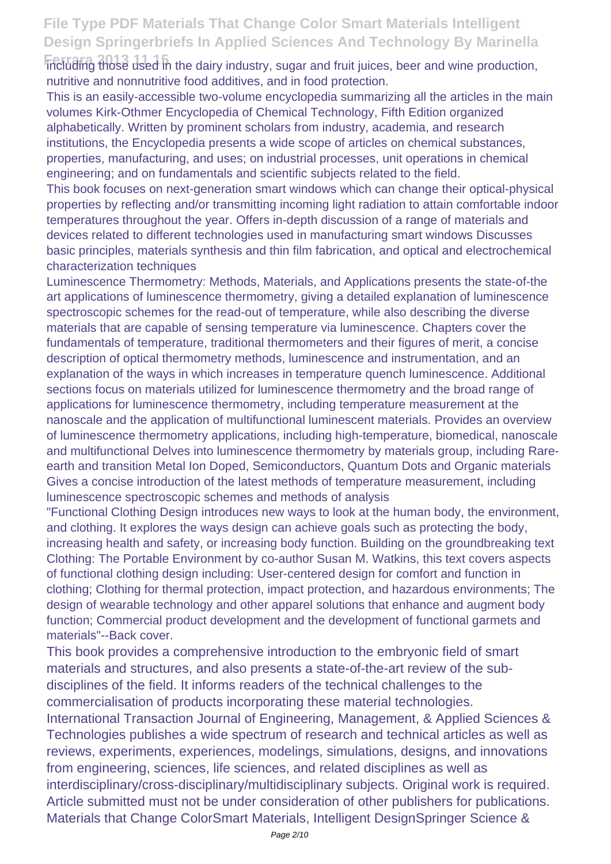**Ferrara 2013 11 15** including those used in the dairy industry, sugar and fruit juices, beer and wine production, nutritive and nonnutritive food additives, and in food protection.

This is an easily-accessible two-volume encyclopedia summarizing all the articles in the main volumes Kirk-Othmer Encyclopedia of Chemical Technology, Fifth Edition organized alphabetically. Written by prominent scholars from industry, academia, and research institutions, the Encyclopedia presents a wide scope of articles on chemical substances, properties, manufacturing, and uses; on industrial processes, unit operations in chemical engineering; and on fundamentals and scientific subjects related to the field.

This book focuses on next-generation smart windows which can change their optical-physical properties by reflecting and/or transmitting incoming light radiation to attain comfortable indoor temperatures throughout the year. Offers in-depth discussion of a range of materials and devices related to different technologies used in manufacturing smart windows Discusses basic principles, materials synthesis and thin film fabrication, and optical and electrochemical characterization techniques

Luminescence Thermometry: Methods, Materials, and Applications presents the state-of-the art applications of luminescence thermometry, giving a detailed explanation of luminescence spectroscopic schemes for the read-out of temperature, while also describing the diverse materials that are capable of sensing temperature via luminescence. Chapters cover the fundamentals of temperature, traditional thermometers and their figures of merit, a concise description of optical thermometry methods, luminescence and instrumentation, and an explanation of the ways in which increases in temperature quench luminescence. Additional sections focus on materials utilized for luminescence thermometry and the broad range of applications for luminescence thermometry, including temperature measurement at the nanoscale and the application of multifunctional luminescent materials. Provides an overview of luminescence thermometry applications, including high-temperature, biomedical, nanoscale and multifunctional Delves into luminescence thermometry by materials group, including Rareearth and transition Metal Ion Doped, Semiconductors, Quantum Dots and Organic materials Gives a concise introduction of the latest methods of temperature measurement, including luminescence spectroscopic schemes and methods of analysis

"Functional Clothing Design introduces new ways to look at the human body, the environment, and clothing. It explores the ways design can achieve goals such as protecting the body, increasing health and safety, or increasing body function. Building on the groundbreaking text Clothing: The Portable Environment by co-author Susan M. Watkins, this text covers aspects of functional clothing design including: User-centered design for comfort and function in clothing; Clothing for thermal protection, impact protection, and hazardous environments; The design of wearable technology and other apparel solutions that enhance and augment body function; Commercial product development and the development of functional garmets and materials"--Back cover.

This book provides a comprehensive introduction to the embryonic field of smart materials and structures, and also presents a state-of-the-art review of the subdisciplines of the field. It informs readers of the technical challenges to the commercialisation of products incorporating these material technologies.

International Transaction Journal of Engineering, Management, & Applied Sciences & Technologies publishes a wide spectrum of research and technical articles as well as reviews, experiments, experiences, modelings, simulations, designs, and innovations from engineering, sciences, life sciences, and related disciplines as well as interdisciplinary/cross-disciplinary/multidisciplinary subjects. Original work is required. Article submitted must not be under consideration of other publishers for publications. Materials that Change ColorSmart Materials, Intelligent DesignSpringer Science &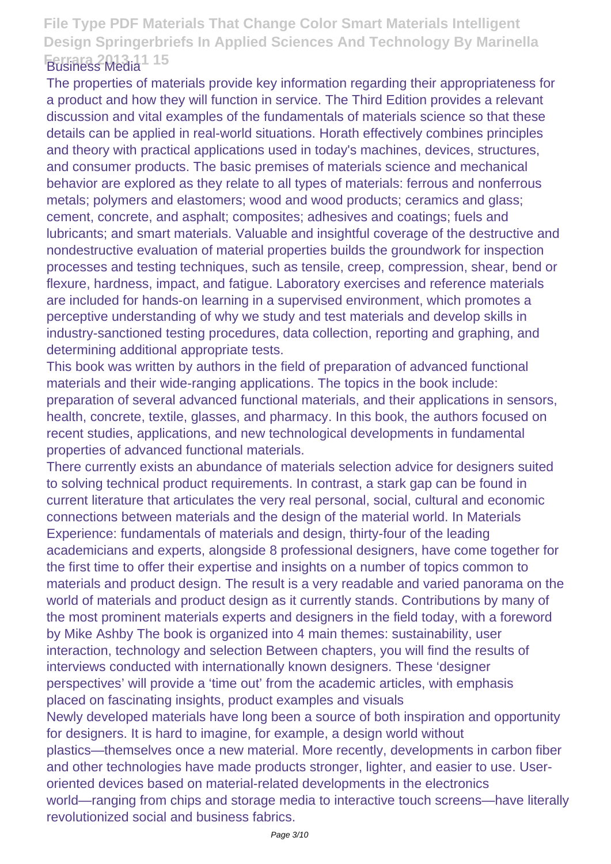#### **File Type PDF Materials That Change Color Smart Materials Intelligent Design Springerbriefs In Applied Sciences And Technology By Marinella Ferrara 2013 11 15** Business Media

The properties of materials provide key information regarding their appropriateness for a product and how they will function in service. The Third Edition provides a relevant discussion and vital examples of the fundamentals of materials science so that these details can be applied in real-world situations. Horath effectively combines principles and theory with practical applications used in today's machines, devices, structures, and consumer products. The basic premises of materials science and mechanical behavior are explored as they relate to all types of materials: ferrous and nonferrous metals; polymers and elastomers; wood and wood products; ceramics and glass; cement, concrete, and asphalt; composites; adhesives and coatings; fuels and lubricants; and smart materials. Valuable and insightful coverage of the destructive and nondestructive evaluation of material properties builds the groundwork for inspection processes and testing techniques, such as tensile, creep, compression, shear, bend or flexure, hardness, impact, and fatigue. Laboratory exercises and reference materials are included for hands-on learning in a supervised environment, which promotes a perceptive understanding of why we study and test materials and develop skills in industry-sanctioned testing procedures, data collection, reporting and graphing, and determining additional appropriate tests.

This book was written by authors in the field of preparation of advanced functional materials and their wide-ranging applications. The topics in the book include: preparation of several advanced functional materials, and their applications in sensors, health, concrete, textile, glasses, and pharmacy. In this book, the authors focused on recent studies, applications, and new technological developments in fundamental properties of advanced functional materials.

There currently exists an abundance of materials selection advice for designers suited to solving technical product requirements. In contrast, a stark gap can be found in current literature that articulates the very real personal, social, cultural and economic connections between materials and the design of the material world. In Materials Experience: fundamentals of materials and design, thirty-four of the leading academicians and experts, alongside 8 professional designers, have come together for the first time to offer their expertise and insights on a number of topics common to materials and product design. The result is a very readable and varied panorama on the world of materials and product design as it currently stands. Contributions by many of the most prominent materials experts and designers in the field today, with a foreword by Mike Ashby The book is organized into 4 main themes: sustainability, user interaction, technology and selection Between chapters, you will find the results of interviews conducted with internationally known designers. These 'designer perspectives' will provide a 'time out' from the academic articles, with emphasis placed on fascinating insights, product examples and visuals Newly developed materials have long been a source of both inspiration and opportunity for designers. It is hard to imagine, for example, a design world without plastics—themselves once a new material. More recently, developments in carbon fiber and other technologies have made products stronger, lighter, and easier to use. Useroriented devices based on material-related developments in the electronics

world—ranging from chips and storage media to interactive touch screens—have literally revolutionized social and business fabrics.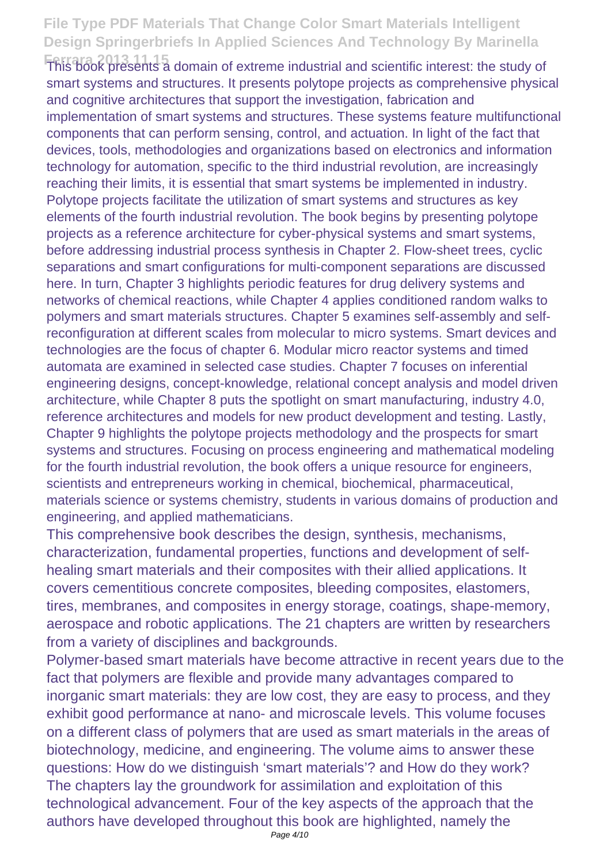**Ferrara 2013 11 15** This book presents a domain of extreme industrial and scientific interest: the study of smart systems and structures. It presents polytope projects as comprehensive physical and cognitive architectures that support the investigation, fabrication and implementation of smart systems and structures. These systems feature multifunctional components that can perform sensing, control, and actuation. In light of the fact that devices, tools, methodologies and organizations based on electronics and information technology for automation, specific to the third industrial revolution, are increasingly reaching their limits, it is essential that smart systems be implemented in industry. Polytope projects facilitate the utilization of smart systems and structures as key elements of the fourth industrial revolution. The book begins by presenting polytope projects as a reference architecture for cyber-physical systems and smart systems, before addressing industrial process synthesis in Chapter 2. Flow-sheet trees, cyclic separations and smart configurations for multi-component separations are discussed here. In turn, Chapter 3 highlights periodic features for drug delivery systems and networks of chemical reactions, while Chapter 4 applies conditioned random walks to polymers and smart materials structures. Chapter 5 examines self-assembly and selfreconfiguration at different scales from molecular to micro systems. Smart devices and technologies are the focus of chapter 6. Modular micro reactor systems and timed automata are examined in selected case studies. Chapter 7 focuses on inferential engineering designs, concept-knowledge, relational concept analysis and model driven architecture, while Chapter 8 puts the spotlight on smart manufacturing, industry 4.0, reference architectures and models for new product development and testing. Lastly, Chapter 9 highlights the polytope projects methodology and the prospects for smart systems and structures. Focusing on process engineering and mathematical modeling for the fourth industrial revolution, the book offers a unique resource for engineers, scientists and entrepreneurs working in chemical, biochemical, pharmaceutical, materials science or systems chemistry, students in various domains of production and engineering, and applied mathematicians.

This comprehensive book describes the design, synthesis, mechanisms, characterization, fundamental properties, functions and development of selfhealing smart materials and their composites with their allied applications. It covers cementitious concrete composites, bleeding composites, elastomers, tires, membranes, and composites in energy storage, coatings, shape-memory, aerospace and robotic applications. The 21 chapters are written by researchers from a variety of disciplines and backgrounds.

Polymer-based smart materials have become attractive in recent years due to the fact that polymers are flexible and provide many advantages compared to inorganic smart materials: they are low cost, they are easy to process, and they exhibit good performance at nano- and microscale levels. This volume focuses on a different class of polymers that are used as smart materials in the areas of biotechnology, medicine, and engineering. The volume aims to answer these questions: How do we distinguish 'smart materials'? and How do they work? The chapters lay the groundwork for assimilation and exploitation of this technological advancement. Four of the key aspects of the approach that the authors have developed throughout this book are highlighted, namely the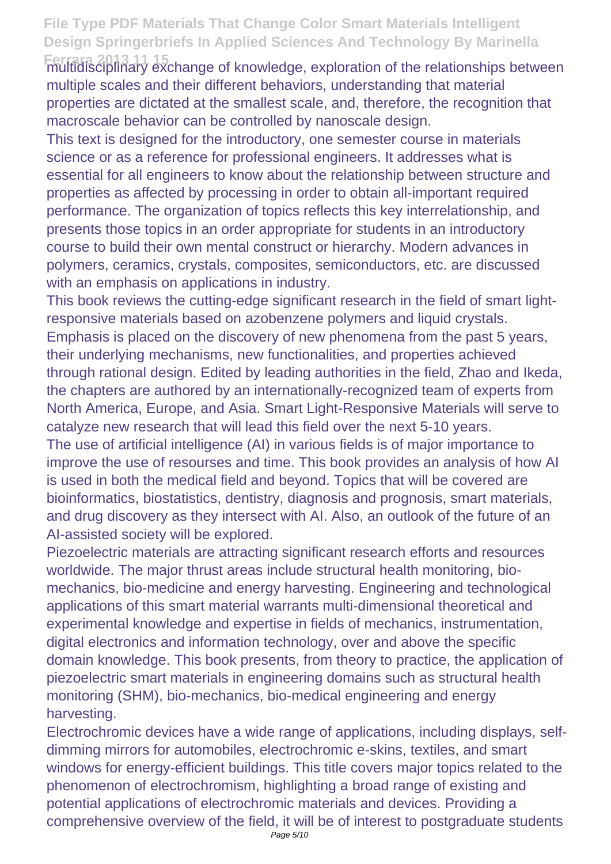**Ferrara 2013 11 15** multidisciplinary exchange of knowledge, exploration of the relationships between multiple scales and their different behaviors, understanding that material properties are dictated at the smallest scale, and, therefore, the recognition that macroscale behavior can be controlled by nanoscale design.

This text is designed for the introductory, one semester course in materials science or as a reference for professional engineers. It addresses what is essential for all engineers to know about the relationship between structure and properties as affected by processing in order to obtain all-important required performance. The organization of topics reflects this key interrelationship, and presents those topics in an order appropriate for students in an introductory course to build their own mental construct or hierarchy. Modern advances in polymers, ceramics, crystals, composites, semiconductors, etc. are discussed with an emphasis on applications in industry.

This book reviews the cutting-edge significant research in the field of smart lightresponsive materials based on azobenzene polymers and liquid crystals. Emphasis is placed on the discovery of new phenomena from the past 5 years, their underlying mechanisms, new functionalities, and properties achieved through rational design. Edited by leading authorities in the field, Zhao and Ikeda, the chapters are authored by an internationally-recognized team of experts from North America, Europe, and Asia. Smart Light-Responsive Materials will serve to catalyze new research that will lead this field over the next 5-10 years. The use of artificial intelligence (AI) in various fields is of major importance to improve the use of resourses and time. This book provides an analysis of how AI

is used in both the medical field and beyond. Topics that will be covered are bioinformatics, biostatistics, dentistry, diagnosis and prognosis, smart materials, and drug discovery as they intersect with AI. Also, an outlook of the future of an AI-assisted society will be explored.

Piezoelectric materials are attracting significant research efforts and resources worldwide. The major thrust areas include structural health monitoring, biomechanics, bio-medicine and energy harvesting. Engineering and technological applications of this smart material warrants multi-dimensional theoretical and experimental knowledge and expertise in fields of mechanics, instrumentation, digital electronics and information technology, over and above the specific domain knowledge. This book presents, from theory to practice, the application of piezoelectric smart materials in engineering domains such as structural health monitoring (SHM), bio-mechanics, bio-medical engineering and energy harvesting.

Electrochromic devices have a wide range of applications, including displays, selfdimming mirrors for automobiles, electrochromic e-skins, textiles, and smart windows for energy-efficient buildings. This title covers major topics related to the phenomenon of electrochromism, highlighting a broad range of existing and potential applications of electrochromic materials and devices. Providing a comprehensive overview of the field, it will be of interest to postgraduate students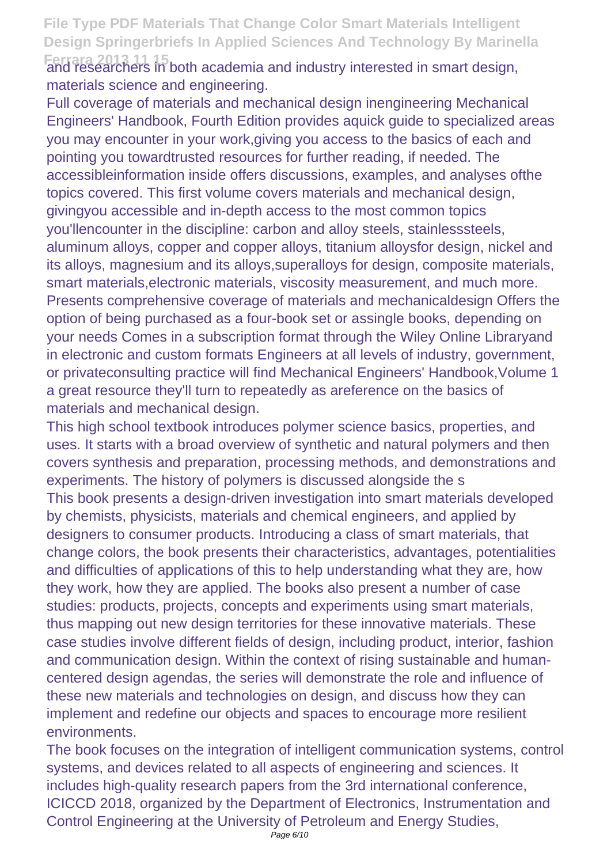Ferrara 2013 11 15<br>and researchers in both academia and industry interested in smart design, materials science and engineering.

Full coverage of materials and mechanical design inengineering Mechanical Engineers' Handbook, Fourth Edition provides aquick guide to specialized areas you may encounter in your work,giving you access to the basics of each and pointing you towardtrusted resources for further reading, if needed. The accessibleinformation inside offers discussions, examples, and analyses ofthe topics covered. This first volume covers materials and mechanical design, givingyou accessible and in-depth access to the most common topics you'llencounter in the discipline: carbon and alloy steels, stainlesssteels, aluminum alloys, copper and copper alloys, titanium alloysfor design, nickel and its alloys, magnesium and its alloys,superalloys for design, composite materials, smart materials,electronic materials, viscosity measurement, and much more. Presents comprehensive coverage of materials and mechanicaldesign Offers the option of being purchased as a four-book set or assingle books, depending on your needs Comes in a subscription format through the Wiley Online Libraryand in electronic and custom formats Engineers at all levels of industry, government, or privateconsulting practice will find Mechanical Engineers' Handbook,Volume 1 a great resource they'll turn to repeatedly as areference on the basics of materials and mechanical design.

This high school textbook introduces polymer science basics, properties, and uses. It starts with a broad overview of synthetic and natural polymers and then covers synthesis and preparation, processing methods, and demonstrations and experiments. The history of polymers is discussed alongside the s This book presents a design-driven investigation into smart materials developed by chemists, physicists, materials and chemical engineers, and applied by designers to consumer products. Introducing a class of smart materials, that change colors, the book presents their characteristics, advantages, potentialities and difficulties of applications of this to help understanding what they are, how they work, how they are applied. The books also present a number of case studies: products, projects, concepts and experiments using smart materials, thus mapping out new design territories for these innovative materials. These case studies involve different fields of design, including product, interior, fashion and communication design. Within the context of rising sustainable and humancentered design agendas, the series will demonstrate the role and influence of these new materials and technologies on design, and discuss how they can implement and redefine our objects and spaces to encourage more resilient environments.

The book focuses on the integration of intelligent communication systems, control systems, and devices related to all aspects of engineering and sciences. It includes high-quality research papers from the 3rd international conference, ICICCD 2018, organized by the Department of Electronics, Instrumentation and Control Engineering at the University of Petroleum and Energy Studies,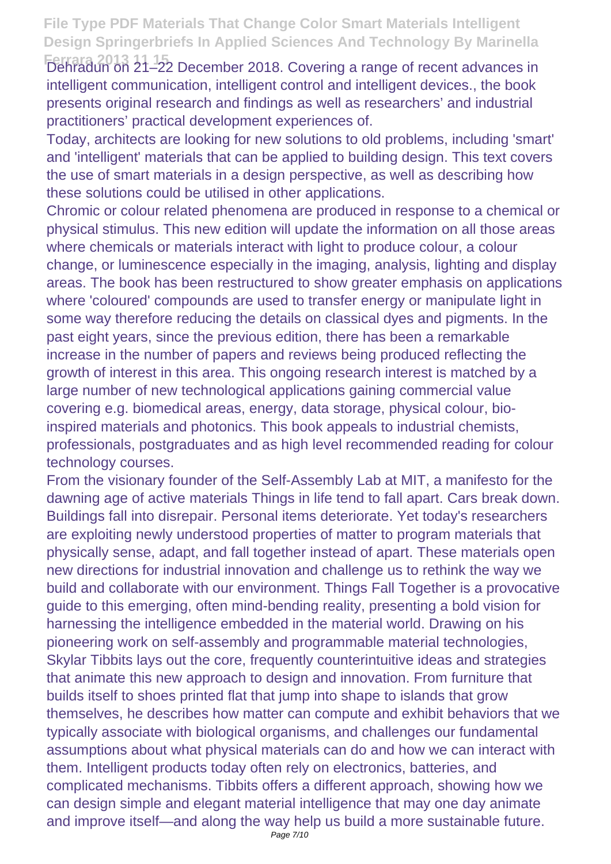Ferrara 2013 11-15<br>Dehradun on 21–22 December 2018. Covering a range of recent advances in intelligent communication, intelligent control and intelligent devices., the book presents original research and findings as well as researchers' and industrial practitioners' practical development experiences of.

Today, architects are looking for new solutions to old problems, including 'smart' and 'intelligent' materials that can be applied to building design. This text covers the use of smart materials in a design perspective, as well as describing how these solutions could be utilised in other applications.

Chromic or colour related phenomena are produced in response to a chemical or physical stimulus. This new edition will update the information on all those areas where chemicals or materials interact with light to produce colour, a colour change, or luminescence especially in the imaging, analysis, lighting and display areas. The book has been restructured to show greater emphasis on applications where 'coloured' compounds are used to transfer energy or manipulate light in some way therefore reducing the details on classical dyes and pigments. In the past eight years, since the previous edition, there has been a remarkable increase in the number of papers and reviews being produced reflecting the growth of interest in this area. This ongoing research interest is matched by a large number of new technological applications gaining commercial value covering e.g. biomedical areas, energy, data storage, physical colour, bioinspired materials and photonics. This book appeals to industrial chemists, professionals, postgraduates and as high level recommended reading for colour technology courses.

From the visionary founder of the Self-Assembly Lab at MIT, a manifesto for the dawning age of active materials Things in life tend to fall apart. Cars break down. Buildings fall into disrepair. Personal items deteriorate. Yet today's researchers are exploiting newly understood properties of matter to program materials that physically sense, adapt, and fall together instead of apart. These materials open new directions for industrial innovation and challenge us to rethink the way we build and collaborate with our environment. Things Fall Together is a provocative guide to this emerging, often mind-bending reality, presenting a bold vision for harnessing the intelligence embedded in the material world. Drawing on his pioneering work on self-assembly and programmable material technologies, Skylar Tibbits lays out the core, frequently counterintuitive ideas and strategies that animate this new approach to design and innovation. From furniture that builds itself to shoes printed flat that jump into shape to islands that grow themselves, he describes how matter can compute and exhibit behaviors that we typically associate with biological organisms, and challenges our fundamental assumptions about what physical materials can do and how we can interact with them. Intelligent products today often rely on electronics, batteries, and complicated mechanisms. Tibbits offers a different approach, showing how we can design simple and elegant material intelligence that may one day animate and improve itself—and along the way help us build a more sustainable future.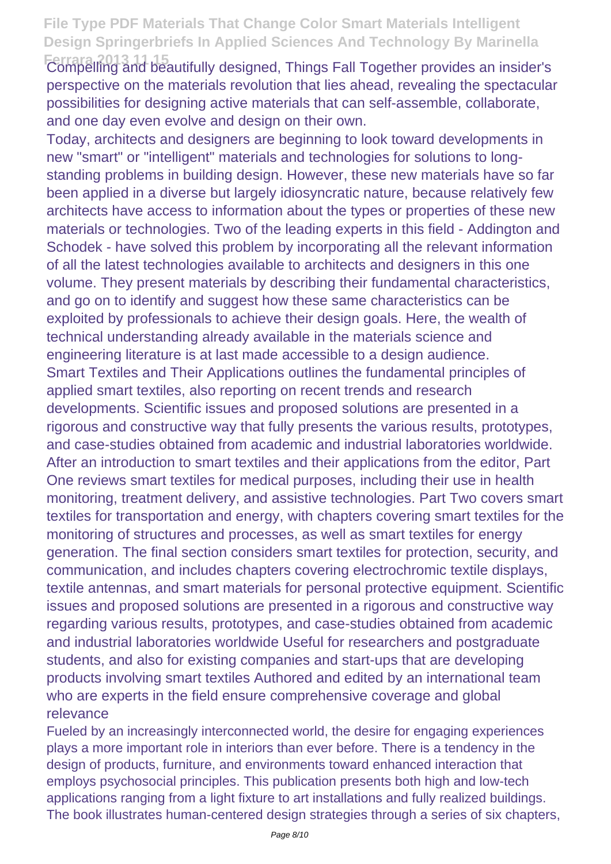**Ferrara 2013 11 15** Compelling and beautifully designed, Things Fall Together provides an insider's perspective on the materials revolution that lies ahead, revealing the spectacular possibilities for designing active materials that can self-assemble, collaborate, and one day even evolve and design on their own.

Today, architects and designers are beginning to look toward developments in new "smart" or "intelligent" materials and technologies for solutions to longstanding problems in building design. However, these new materials have so far been applied in a diverse but largely idiosyncratic nature, because relatively few architects have access to information about the types or properties of these new materials or technologies. Two of the leading experts in this field - Addington and Schodek - have solved this problem by incorporating all the relevant information of all the latest technologies available to architects and designers in this one volume. They present materials by describing their fundamental characteristics, and go on to identify and suggest how these same characteristics can be exploited by professionals to achieve their design goals. Here, the wealth of technical understanding already available in the materials science and engineering literature is at last made accessible to a design audience. Smart Textiles and Their Applications outlines the fundamental principles of applied smart textiles, also reporting on recent trends and research developments. Scientific issues and proposed solutions are presented in a rigorous and constructive way that fully presents the various results, prototypes, and case-studies obtained from academic and industrial laboratories worldwide. After an introduction to smart textiles and their applications from the editor, Part One reviews smart textiles for medical purposes, including their use in health monitoring, treatment delivery, and assistive technologies. Part Two covers smart textiles for transportation and energy, with chapters covering smart textiles for the monitoring of structures and processes, as well as smart textiles for energy generation. The final section considers smart textiles for protection, security, and communication, and includes chapters covering electrochromic textile displays, textile antennas, and smart materials for personal protective equipment. Scientific issues and proposed solutions are presented in a rigorous and constructive way regarding various results, prototypes, and case-studies obtained from academic and industrial laboratories worldwide Useful for researchers and postgraduate students, and also for existing companies and start-ups that are developing products involving smart textiles Authored and edited by an international team who are experts in the field ensure comprehensive coverage and global relevance

Fueled by an increasingly interconnected world, the desire for engaging experiences plays a more important role in interiors than ever before. There is a tendency in the design of products, furniture, and environments toward enhanced interaction that employs psychosocial principles. This publication presents both high and low-tech applications ranging from a light fixture to art installations and fully realized buildings. The book illustrates human-centered design strategies through a series of six chapters,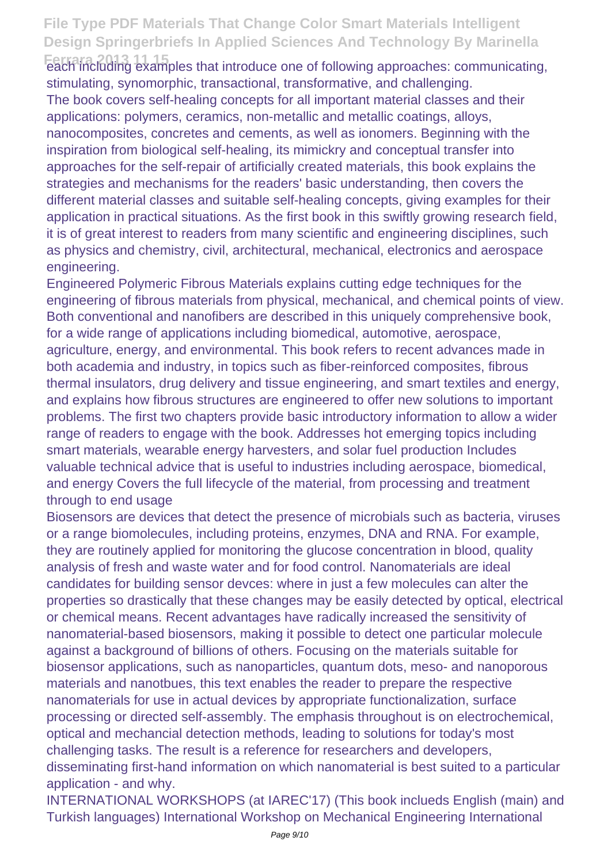Ferrara 2013 11 als<br>
each including examples that introduce one of following approaches: communicating, stimulating, synomorphic, transactional, transformative, and challenging.

The book covers self-healing concepts for all important material classes and their applications: polymers, ceramics, non-metallic and metallic coatings, alloys, nanocomposites, concretes and cements, as well as ionomers. Beginning with the inspiration from biological self-healing, its mimickry and conceptual transfer into approaches for the self-repair of artificially created materials, this book explains the strategies and mechanisms for the readers' basic understanding, then covers the different material classes and suitable self-healing concepts, giving examples for their application in practical situations. As the first book in this swiftly growing research field, it is of great interest to readers from many scientific and engineering disciplines, such as physics and chemistry, civil, architectural, mechanical, electronics and aerospace engineering.

Engineered Polymeric Fibrous Materials explains cutting edge techniques for the engineering of fibrous materials from physical, mechanical, and chemical points of view. Both conventional and nanofibers are described in this uniquely comprehensive book, for a wide range of applications including biomedical, automotive, aerospace, agriculture, energy, and environmental. This book refers to recent advances made in both academia and industry, in topics such as fiber-reinforced composites, fibrous thermal insulators, drug delivery and tissue engineering, and smart textiles and energy, and explains how fibrous structures are engineered to offer new solutions to important problems. The first two chapters provide basic introductory information to allow a wider range of readers to engage with the book. Addresses hot emerging topics including smart materials, wearable energy harvesters, and solar fuel production Includes valuable technical advice that is useful to industries including aerospace, biomedical, and energy Covers the full lifecycle of the material, from processing and treatment through to end usage

Biosensors are devices that detect the presence of microbials such as bacteria, viruses or a range biomolecules, including proteins, enzymes, DNA and RNA. For example, they are routinely applied for monitoring the glucose concentration in blood, quality analysis of fresh and waste water and for food control. Nanomaterials are ideal candidates for building sensor devces: where in just a few molecules can alter the properties so drastically that these changes may be easily detected by optical, electrical or chemical means. Recent advantages have radically increased the sensitivity of nanomaterial-based biosensors, making it possible to detect one particular molecule against a background of billions of others. Focusing on the materials suitable for biosensor applications, such as nanoparticles, quantum dots, meso- and nanoporous materials and nanotbues, this text enables the reader to prepare the respective nanomaterials for use in actual devices by appropriate functionalization, surface processing or directed self-assembly. The emphasis throughout is on electrochemical, optical and mechancial detection methods, leading to solutions for today's most challenging tasks. The result is a reference for researchers and developers, disseminating first-hand information on which nanomaterial is best suited to a particular application - and why.

INTERNATIONAL WORKSHOPS (at IAREC'17) (This book inclueds English (main) and Turkish languages) International Workshop on Mechanical Engineering International